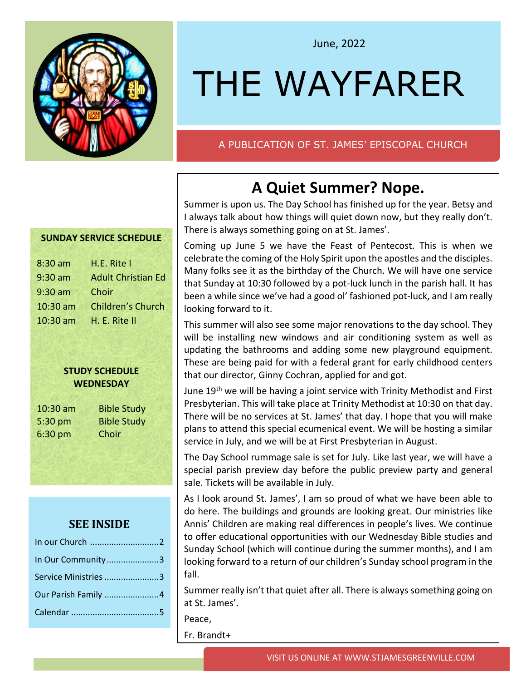

### June, 2022

# THE WAYFARER

### A PUBLICATION OF ST. JAMES' EPISCOPAL CHURCH

### **A Quiet Summer? Nope.**

Summer is upon us. The Day School has finished up for the year. Betsy and I always talk about how things will quiet down now, but they really don't. There is always something going on at St. James'.

Coming up June 5 we have the Feast of Pentecost. This is when we celebrate the coming of the Holy Spirit upon the apostles and the disciples. Many folks see it as the birthday of the Church. We will have one service that Sunday at 10:30 followed by a pot-luck lunch in the parish hall. It has been a while since we've had a good ol' fashioned pot-luck, and I am really looking forward to it.

This summer will also see some major renovations to the day school. They will be installing new windows and air conditioning system as well as updating the bathrooms and adding some new playground equipment. These are being paid for with a federal grant for early childhood centers that our director, Ginny Cochran, applied for and got.

June 19<sup>th</sup> we will be having a joint service with Trinity Methodist and First Presbyterian. This will take place at Trinity Methodist at 10:30 on that day. There will be no services at St. James' that day. I hope that you will make plans to attend this special ecumenical event. We will be hosting a similar service in July, and we will be at First Presbyterian in August.

The Day School rummage sale is set for July. Like last year, we will have a special parish preview day before the public preview party and general sale. Tickets will be available in July.

As I look around St. James', I am so proud of what we have been able to do here. The buildings and grounds are looking great. Our ministries like Annis' Children are making real differences in people's lives. We continue to offer educational opportunities with our Wednesday Bible studies and Sunday School (which will continue during the summer months), and I am looking forward to a return of our children's Sunday school program in the fall.

Summer really isn't that quiet after all. There is always something going on at St. James'.

Peace,

Fr. Brandt+

### **SUNDAY SERVICE SCHEDULE**

| 8:30 am   | H.E. Rite I               |
|-----------|---------------------------|
| $9:30$ am | <b>Adult Christian Ed</b> |
| $9:30$ am | Choir                     |
| 10:30 am  | <b>Children's Church</b>  |
| 10:30 am  | H. E. Rite II             |
|           |                           |

#### **STUDY SCHEDULE WEDNESDAY**

6:30 pm Choir

10:30 am Bible Study 5:30 pm Bible Study

### **SEE INSIDE**

| In Our Community3    |  |
|----------------------|--|
| Service Ministries 3 |  |
| Our Parish Family 4  |  |
|                      |  |
|                      |  |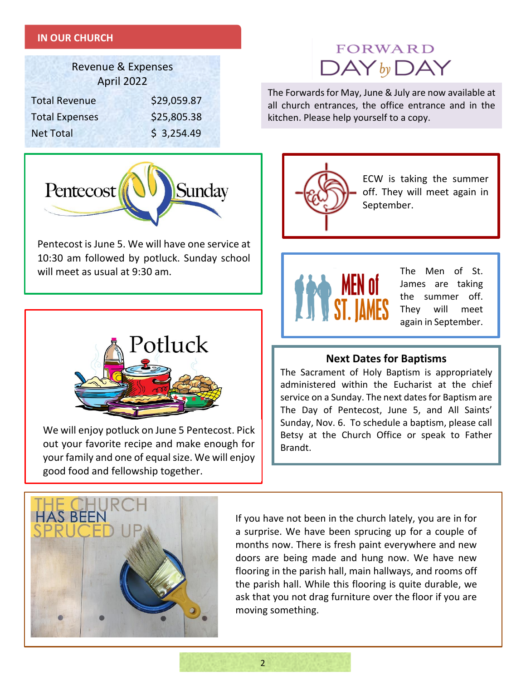### **IN OUR CHURCH**

| <b>Revenue &amp; Expenses</b><br>April 2022 |             |  |  |  |  |
|---------------------------------------------|-------------|--|--|--|--|
| <b>Total Revenue</b>                        | \$29,059.87 |  |  |  |  |
| <b>Total Expenses</b>                       | \$25,805.38 |  |  |  |  |
| <b>Net Total</b>                            | \$3,254.49  |  |  |  |  |

## **FORWARD**  $\mathsf{DAY}_{\mathsf{by}}\mathsf{DAY}$

The Forwards for May, June & July are now available at all church entrances, the office entrance and in the kitchen. Please help yourself to a copy.



Pentecost is June 5. We will have one service at 10:30 am followed by potluck. Sunday school will meet as usual at 9:30 am.



We will enjoy potluck on June 5 Pentecost. Pick out your favorite recipe and make enough for your family and one of equal size. We will enjoy good food and fellowship together.



ECW is taking the summer off. They will meet again in September.



The Men of St. James are taking the summer off. They will meet again in September.

### **Next Dates for Baptisms**

The Sacrament of Holy Baptism is appropriately administered within the Eucharist at the chief service on a Sunday. The next dates for Baptism are The Day of Pentecost, June 5, and All Saints' Sunday, Nov. 6. To schedule a baptism, please call Betsy at the Church Office or speak to Father Brandt.



If you have not been in the church lately, you are in for a surprise. We have been sprucing up for a couple of months now. There is fresh paint everywhere and new doors are being made and hung now. We have new flooring in the parish hall, main hallways, and rooms off the parish hall. While this flooring is quite durable, we ask that you not drag furniture over the floor if you are moving something.

 $\overline{2}$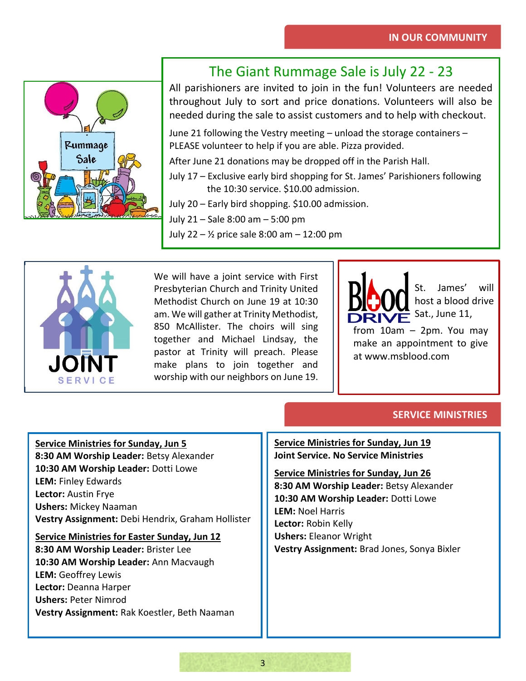

### The Giant Rummage Sale is July 22 - 23

All parishioners are invited to join in the fun! Volunteers are needed throughout July to sort and price donations. Volunteers will also be needed during the sale to assist customers and to help with checkout.

June 21 following the Vestry meeting – unload the storage containers – PLEASE volunteer to help if you are able. Pizza provided.

After June 21 donations may be dropped off in the Parish Hall.

- July 17 Exclusive early bird shopping for St. James' Parishioners following the 10:30 service. \$10.00 admission.
- July 20 Early bird shopping. \$10.00 admission.

July 21 – Sale 8:00 am – 5:00 pm

July 22 – ½ price sale 8:00 am – 12:00 pm



We will have a joint service with First Presbyterian Church and Trinity United Methodist Church on June 19 at 10:30 am. We will gather at Trinity Methodist, 850 McAllister. The choirs will sing together and Michael Lindsay, the pastor at Trinity will preach. Please make plans to join together and worship with our neighbors on June 19.

St. James' will host a blood drive Sat., June 11,

from 10am – 2pm. You may make an appointment to give at www.msblood.com

### **SERVICE MINISTRIES**

**Service Ministries for Sunday, Jun 5**

**8:30 AM Worship Leader:** Betsy Alexander **10:30 AM Worship Leader:** Dotti Lowe **LEM:** Finley Edwards **Lector:** Austin Frye **Ushers:** Mickey Naaman **Vestry Assignment:** Debi Hendrix, Graham Hollister

**Service Ministries for Easter Sunday, Jun 12**

**8:30 AM Worship Leader:** Brister Lee **10:30 AM Worship Leader:** Ann Macvaugh **LEM:** Geoffrey Lewis **Lector:** Deanna Harper **Ushers:** Peter Nimrod **Vestry Assignment:** Rak Koestler, Beth Naaman **Service Ministries for Sunday, Jun 19 Joint Service. No Service Ministries**

**Service Ministries for Sunday, Jun 26 8:30 AM Worship Leader:** Betsy Alexander **10:30 AM Worship Leader:** Dotti Lowe **LEM:** Noel Harris **Lector:** Robin Kelly **Ushers:** Eleanor Wright **Vestry Assignment:** Brad Jones, Sonya Bixler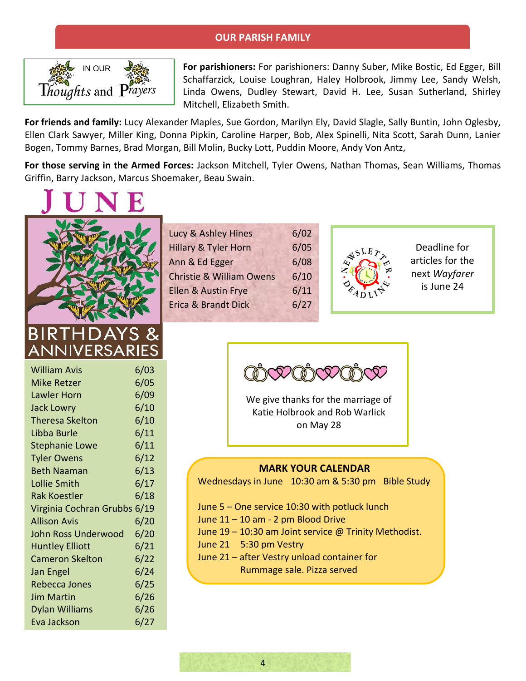### **OUR PARISH FAMILY**



**For parishioners:** For parishioners: Danny Suber, Mike Bostic, Ed Egger, Bill Schaffarzick, Louise Loughran, Haley Holbrook, Jimmy Lee, Sandy Welsh, Linda Owens, Dudley Stewart, David H. Lee, Susan Sutherland, Shirley Mitchell, Elizabeth Smith.

**For friends and family:** Lucy Alexander Maples, Sue Gordon, Marilyn Ely, David Slagle, Sally Buntin, John Oglesby, Ellen Clark Sawyer, Miller King, Donna Pipkin, Caroline Harper, Bob, Alex Spinelli, Nita Scott, Sarah Dunn, Lanier Bogen, Tommy Barnes, Brad Morgan, Bill Molin, Bucky Lott, Puddin Moore, Andy Von Antz,

**For those serving in the Armed Forces:** Jackson Mitchell, Tyler Owens, Nathan Thomas, Sean Williams, Thomas Griffin, Barry Jackson, Marcus Shoemaker, Beau Swain.



ANNIVERSA

| Lucy & Ashley Hines                 | 6/02 |
|-------------------------------------|------|
| <b>Hillary &amp; Tyler Horn</b>     | 6/05 |
| Ann & Ed Egger                      | 6/08 |
| <b>Christie &amp; William Owens</b> | 6/10 |
| Ellen & Austin Frye                 | 6/11 |
| Erica & Brandt Dick                 | 6/27 |
|                                     |      |



Deadline for articles for the next *Wayfarer* is June 24

| <b>William Avis</b>          | 6/03 |
|------------------------------|------|
| <b>Mike Retzer</b>           | 6/05 |
| <b>Lawler Horn</b>           | 6/09 |
| <b>Jack Lowry</b>            | 6/10 |
| <b>Theresa Skelton</b>       | 6/10 |
| Libba Burle                  | 6/11 |
| <b>Stephanie Lowe</b>        | 6/11 |
| <b>Tyler Owens</b>           | 6/12 |
| <b>Beth Naaman</b>           | 6/13 |
| Lollie Smith                 | 6/17 |
| <b>Rak Koestler</b>          | 6/18 |
| Virginia Cochran Grubbs 6/19 |      |
| <b>Allison Avis</b>          | 6/20 |
| John Ross Underwood          | 6/20 |
| <b>Huntley Elliott</b>       | 6/21 |
| <b>Cameron Skelton</b>       | 6/22 |
| Jan Engel                    | 6/24 |
| <b>Rebecca Jones</b>         | 6/25 |
| <b>Jim Martin</b>            | 6/26 |
| <b>Dylan Williams</b>        | 6/26 |
| Eva Jackson                  | 6/27 |

We give thanks for the marriage of Katie Holbrook and Rob Warlick on May 28

#### **MARK YOUR CALENDAR**

Wednesdays in June 10:30 am & 5:30 pm Bible Study

- June 5 One service 10:30 with potluck lunch June 11 – 10 am - 2 pm Blood Drive June 19 – 10:30 am Joint service @ Trinity Methodist. June 21 5:30 pm Vestry
- June 21 after Vestry unload container for Rummage sale. Pizza served